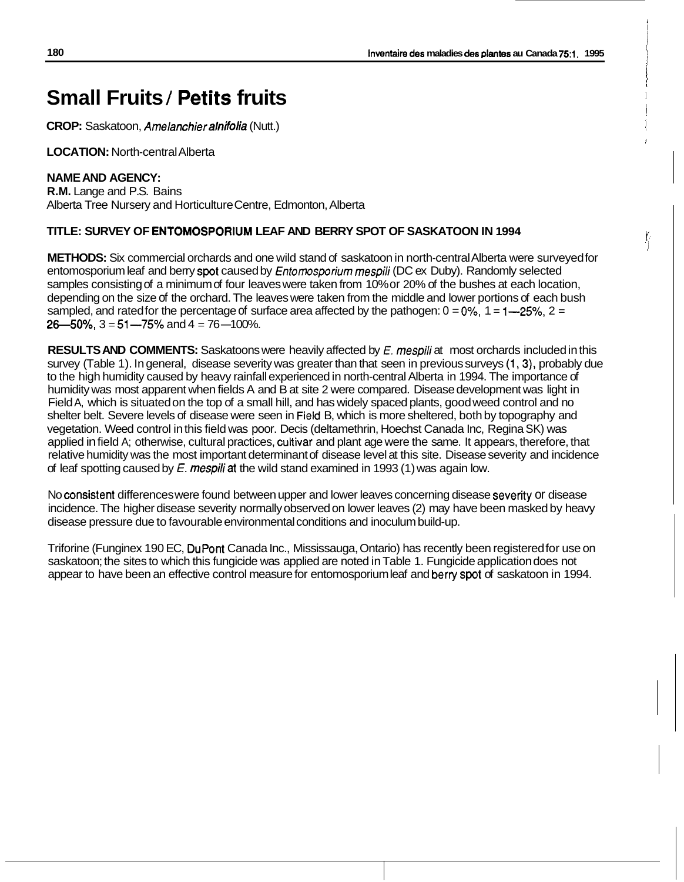i ł. i i

*1*  !

I

[' i

# **Small Fruits** / **Petits fruits**

**CROP:** Saskatoon, Amelanchief *alnifolia* (Nutt.)

**LOCATION:** North-central Alberta

### **NAME AND AGENCY:**

**R.M.** Lange and P.S. Bains Alberta Tree Nursery and Horticulture Centre, Edmonton, Alberta

#### **TITLE: SURVEY OF ENTOMOSPORIUM LEAF AND BERRY SPOT OF SASKATOON IN 1994**

**METHODS:** Six commercial orchards and one wild stand of saskatoon in north-central Alberta were surveyed for entomosporium leaf and berry **spot** caused by *Enromosporium* mespili (DC ex Duby). Randomly selected samples consisting of a minimum of four leaves were taken from 10% or 20% of the bushes at each location, depending on the size of the orchard. The leaves were taken from the middle and lower portions of each bush sampled, and rated for the percentage of surface area affected by the pathogen:  $0 = 0\%$ ,  $1 = 1 - 25\%$ ,  $2 = 1$  $26 - 50\%$ ,  $3 = 51 - 75\%$  and  $4 = 76 - 100\%$ .

**RESULTS AND COMMENTS:** Saskatoons were heavily affected by *E. mespili* at most orchards included in this survey (Table 1). In general, disease severity was greater than that seen in previous surveys (1,3), probably due to the high humidity caused by heavy rainfall experienced in north-central Alberta in 1994. The importance of humidity was most apparent when fields A and B at site 2 were compared. Disease development was light in Field A, which is situated on the top of a small hill, and has widely spaced plants, good weed control and no shelter belt. Severe levels of disease were seen in Field B, which is more sheltered, both by topography and vegetation. Weed control in this field was poor. Decis (deltamethrin, Hoechst Canada Inc, Regina SK) was applied in field A; otherwise, cultural practices, cultivar and plant age were the same. It appears, therefore, that relative humidity was the most important determinant of disease level at this site. Disease severity and incidence of leaf spotting caused by *E.* mespiliat the wild stand examined in 1993 (1) was again low.

No consistent differences were found between upper and lower leaves concerning disease severiiy or disease incidence. The higher disease severity normally observed on lower leaves (2) may have been masked by heavy disease pressure due to favourable environmental conditions and inoculum build-up.

Triforine (Funginex 190 EC, DuPont Canada Inc., Mississauga, Ontario) has recently been registered for use on saskatoon; the sites to which this fungicide was applied are noted in Table 1. Fungicide application does not appear to have been an effective control measure for entomosporium leaf and berry **spot** of saskatoon in 1994.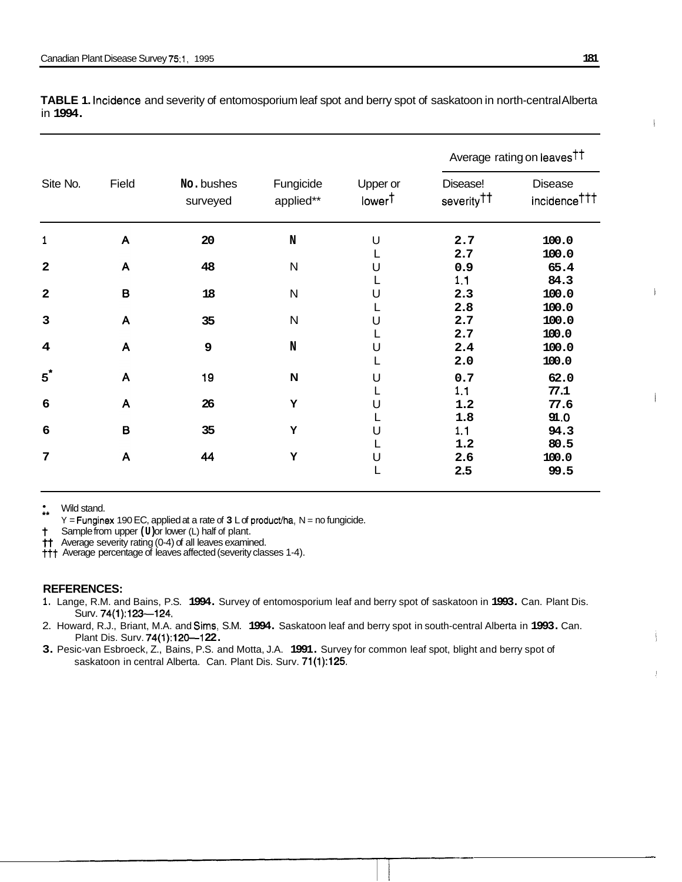| Site No. Field<br>Disease<br>No.bushes<br>Upper or<br>Fungicide<br>Disease!<br>severity <sup>††</sup><br>applied**<br>surveyed<br>lower <sup>T</sup><br>20<br>2.7<br>100.0<br>2.7<br>100.0<br>48<br>65.4<br>0.9<br>84.3<br>1.1<br>100.0<br>18<br>2.3<br>100.0<br>2.8<br>100.0<br>2.7<br>35<br>100.0<br>2.7<br>100.0<br>2.4<br>ം<br>100.0<br>2.0<br>19<br>62.0<br>0.7<br>77.1<br>1.1<br>77.6<br>26<br>1.2<br>91.0<br>1.8<br>35<br>94.3<br>1.1<br>80.5<br>1.2<br>44<br>100.0<br>99.5<br>2.6<br>2.5                                                                                                                                                                                                                       | incidence <sup>†††</sup> |  |  |  | Average rating on leaves <sup>††</sup> |
|------------------------------------------------------------------------------------------------------------------------------------------------------------------------------------------------------------------------------------------------------------------------------------------------------------------------------------------------------------------------------------------------------------------------------------------------------------------------------------------------------------------------------------------------------------------------------------------------------------------------------------------------------------------------------------------------------------------------|--------------------------|--|--|--|----------------------------------------|
| Wild stand.<br>Y = Funginex 190 EC, applied at a rate of 3 L of product/ha, N = no fungicide.<br>Surv. 74(1):123-124.                                                                                                                                                                                                                                                                                                                                                                                                                                                                                                                                                                                                  |                          |  |  |  |                                        |
|                                                                                                                                                                                                                                                                                                                                                                                                                                                                                                                                                                                                                                                                                                                        |                          |  |  |  |                                        |
| <sup>†</sup> Sample from upper (U) or lower (L) half of plant.<br><sup>†</sup> Average severity rating (0-4) of all leaves examined.<br><sup>††</sup> Average percentage of leaves affected (severity classes 1-4).<br><b>REFERENCES:</b><br>1. Lange, R.M. and Bains, P.S. 1994. Survey of entomosporium leaf and berry spot of saskatoon in 1993. Can. Plant Dis.<br>2. Howard, R.J., Briant, M.A. and Sims, S.M. 1994. Saskatoon leaf and berry spot in south-central Alberta in 1993. Can.<br>Plant Dis. Surv. 74(1):120—122.<br>3. Pesic-van Esbroeck, Z., Bains, P.S. and Motta, J.A. 1991. Survey for common leaf spot, blight and berry spot of saskatoon in central Alberta. Can. Plant Dis. Surv. 71(1):125. |                          |  |  |  |                                        |
|                                                                                                                                                                                                                                                                                                                                                                                                                                                                                                                                                                                                                                                                                                                        |                          |  |  |  |                                        |
|                                                                                                                                                                                                                                                                                                                                                                                                                                                                                                                                                                                                                                                                                                                        |                          |  |  |  |                                        |
|                                                                                                                                                                                                                                                                                                                                                                                                                                                                                                                                                                                                                                                                                                                        |                          |  |  |  |                                        |
|                                                                                                                                                                                                                                                                                                                                                                                                                                                                                                                                                                                                                                                                                                                        |                          |  |  |  |                                        |
|                                                                                                                                                                                                                                                                                                                                                                                                                                                                                                                                                                                                                                                                                                                        |                          |  |  |  |                                        |
|                                                                                                                                                                                                                                                                                                                                                                                                                                                                                                                                                                                                                                                                                                                        |                          |  |  |  |                                        |
|                                                                                                                                                                                                                                                                                                                                                                                                                                                                                                                                                                                                                                                                                                                        |                          |  |  |  |                                        |
|                                                                                                                                                                                                                                                                                                                                                                                                                                                                                                                                                                                                                                                                                                                        |                          |  |  |  |                                        |
|                                                                                                                                                                                                                                                                                                                                                                                                                                                                                                                                                                                                                                                                                                                        |                          |  |  |  |                                        |
|                                                                                                                                                                                                                                                                                                                                                                                                                                                                                                                                                                                                                                                                                                                        |                          |  |  |  |                                        |
|                                                                                                                                                                                                                                                                                                                                                                                                                                                                                                                                                                                                                                                                                                                        |                          |  |  |  |                                        |
|                                                                                                                                                                                                                                                                                                                                                                                                                                                                                                                                                                                                                                                                                                                        |                          |  |  |  |                                        |
|                                                                                                                                                                                                                                                                                                                                                                                                                                                                                                                                                                                                                                                                                                                        |                          |  |  |  |                                        |
|                                                                                                                                                                                                                                                                                                                                                                                                                                                                                                                                                                                                                                                                                                                        |                          |  |  |  |                                        |
|                                                                                                                                                                                                                                                                                                                                                                                                                                                                                                                                                                                                                                                                                                                        |                          |  |  |  |                                        |
|                                                                                                                                                                                                                                                                                                                                                                                                                                                                                                                                                                                                                                                                                                                        |                          |  |  |  |                                        |
|                                                                                                                                                                                                                                                                                                                                                                                                                                                                                                                                                                                                                                                                                                                        |                          |  |  |  |                                        |
|                                                                                                                                                                                                                                                                                                                                                                                                                                                                                                                                                                                                                                                                                                                        |                          |  |  |  |                                        |
|                                                                                                                                                                                                                                                                                                                                                                                                                                                                                                                                                                                                                                                                                                                        |                          |  |  |  |                                        |
|                                                                                                                                                                                                                                                                                                                                                                                                                                                                                                                                                                                                                                                                                                                        |                          |  |  |  |                                        |
|                                                                                                                                                                                                                                                                                                                                                                                                                                                                                                                                                                                                                                                                                                                        |                          |  |  |  |                                        |
|                                                                                                                                                                                                                                                                                                                                                                                                                                                                                                                                                                                                                                                                                                                        |                          |  |  |  |                                        |
|                                                                                                                                                                                                                                                                                                                                                                                                                                                                                                                                                                                                                                                                                                                        |                          |  |  |  |                                        |
|                                                                                                                                                                                                                                                                                                                                                                                                                                                                                                                                                                                                                                                                                                                        |                          |  |  |  |                                        |
|                                                                                                                                                                                                                                                                                                                                                                                                                                                                                                                                                                                                                                                                                                                        |                          |  |  |  |                                        |
|                                                                                                                                                                                                                                                                                                                                                                                                                                                                                                                                                                                                                                                                                                                        |                          |  |  |  |                                        |
|                                                                                                                                                                                                                                                                                                                                                                                                                                                                                                                                                                                                                                                                                                                        |                          |  |  |  |                                        |
|                                                                                                                                                                                                                                                                                                                                                                                                                                                                                                                                                                                                                                                                                                                        |                          |  |  |  |                                        |
|                                                                                                                                                                                                                                                                                                                                                                                                                                                                                                                                                                                                                                                                                                                        |                          |  |  |  |                                        |
|                                                                                                                                                                                                                                                                                                                                                                                                                                                                                                                                                                                                                                                                                                                        |                          |  |  |  |                                        |
|                                                                                                                                                                                                                                                                                                                                                                                                                                                                                                                                                                                                                                                                                                                        |                          |  |  |  |                                        |
|                                                                                                                                                                                                                                                                                                                                                                                                                                                                                                                                                                                                                                                                                                                        |                          |  |  |  |                                        |
|                                                                                                                                                                                                                                                                                                                                                                                                                                                                                                                                                                                                                                                                                                                        |                          |  |  |  |                                        |
|                                                                                                                                                                                                                                                                                                                                                                                                                                                                                                                                                                                                                                                                                                                        |                          |  |  |  |                                        |
|                                                                                                                                                                                                                                                                                                                                                                                                                                                                                                                                                                                                                                                                                                                        |                          |  |  |  |                                        |
|                                                                                                                                                                                                                                                                                                                                                                                                                                                                                                                                                                                                                                                                                                                        |                          |  |  |  |                                        |
|                                                                                                                                                                                                                                                                                                                                                                                                                                                                                                                                                                                                                                                                                                                        |                          |  |  |  |                                        |
|                                                                                                                                                                                                                                                                                                                                                                                                                                                                                                                                                                                                                                                                                                                        |                          |  |  |  |                                        |
|                                                                                                                                                                                                                                                                                                                                                                                                                                                                                                                                                                                                                                                                                                                        |                          |  |  |  |                                        |
|                                                                                                                                                                                                                                                                                                                                                                                                                                                                                                                                                                                                                                                                                                                        |                          |  |  |  |                                        |

**TABLE 1.** Incidence and severity of entomosporium leaf spot and berry spot of saskatoon in north-central Alberta in **1994.** 

#### **REFERENCES:**

- **1.** Lange, R.M. and Bains, P.S. **1994.** Survey of entomosporium leaf and berry spot of saskatoon in **1993.** Can. Plant Dis. Surv. **74(1):123-124.**
- 2. Howard, R.J., Briant, M.A. and Sims, S.M. **1994.** Saskatoon leaf and berry spot in south-central Alberta in **1993.** Can. Plant Dis. Surv. **74(1):120--122.**
- **3.** Pesic-van Esbroeck, Z., Bains, P.S. and Motta, J.A. **1991.** Survey for common leaf spot, blight and berry spot of saskatoon in central Alberta. Can. Plant Dis. Surv. **71(1):125.**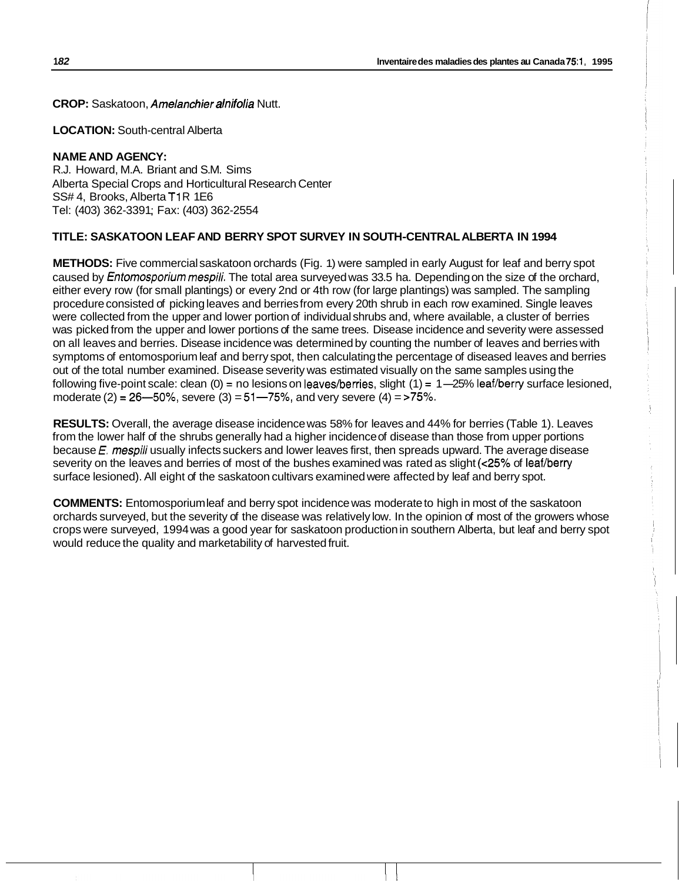**CROP:** Saskatoon, *Amelanchier alnifolia* Nutt.

**LOCATION:** South-central Alberta

## **NAME AND AGENCY:**

R.J. Howard, M.A. Briant and S.M. Sims Alberta Special Crops and Horticultural Research Center SS# 4, Brooks, Alberta T1R 1E6 Tel: (403) 362-3391 ; Fax: (403) 362-2554

## **TITLE: SASKATOON LEAF AND BERRY SPOT SURVEY IN SOUTH-CENTRAL ALBERTA IN 1994**

**METHODS:** Five commercial saskatoon orchards (Fig. 1) were sampled in early August for leaf and berry spot caused by *Entomosporium mespili.* The total area surveyed was 33.5 ha. Depending on the size of the orchard, either every row (for small plantings) or every 2nd or 4th row (for large plantings) was sampled. The sampling procedure consisted of picking leaves and berries from every 20th shrub in each row examined. Single leaves were collected from the upper and lower portion of individual shrubs and, where available, a cluster of berries was picked from the upper and lower portions of the same trees. Disease incidence and severity were assessed on all leaves and berries. Disease incidence was determined by counting the number of leaves and berries with symptoms of entomosporium leaf and berry spot, then calculating the percentage of diseased leaves and berries out of the total number examined. Disease severity was estimated visually on the same samples using the following five-point scale: clean  $(0)$  = no lesions on leaves/berries, slight  $(1)$  = 1-25% leaf/berry surface lesioned, moderate (2) = **26-50%,** severe (3) = 51-75%, and very severe (4) = >75%.

**RESULTS:** Overall, the average disease incidence was 58% for leaves and 44% for berries (Table 1). Leaves from the lower half of the shrubs generally had a higher incidence of disease than those from upper portions because *E. mespili* usually infects suckers and lower leaves first, then spreads upward. The average disease severity on the leaves and berries of most of the bushes examined was rated as slight **(~25%** of leaf/berry surface lesioned). All eight of the saskatoon cultivars examined were affected by leaf and berry spot.

**COMMENTS:** Entomosporium leaf and berry spot incidence was moderate to high in most of the saskatoon orchards surveyed, but the severity of the disease was relatively low. In the opinion of most of the growers whose crops were surveyed, 1994 was a good year for saskatoon production in southern Alberta, but leaf and berry spot would reduce the quality and marketability of harvested fruit.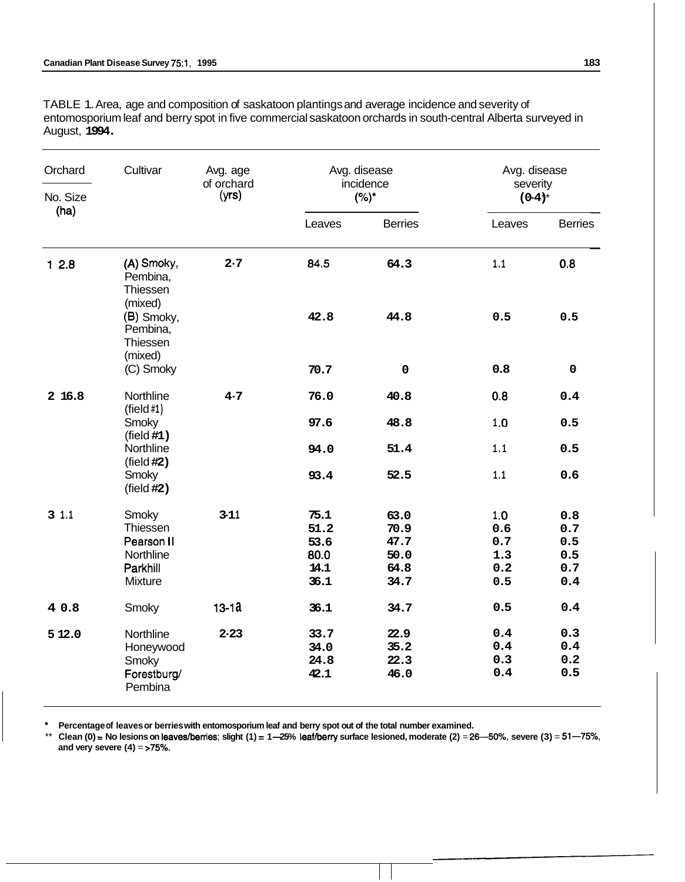TABLE 1. Area, age and composition of saskatoon plantings and average incidence and severity of entomosporium leaf and berry spot in five commercial saskatoon orchards in south-central Alberta surveyed in August, **1994.** 

| Orchard  | Cultivar                                                            | Avg. age<br>of orchard | Avg. disease<br>incidence<br>$(%)^*$         |                                              | Avg. disease<br>severity<br>$(0-4)^{*}$ |                                        |
|----------|---------------------------------------------------------------------|------------------------|----------------------------------------------|----------------------------------------------|-----------------------------------------|----------------------------------------|
| No. Size |                                                                     | (yrs)                  |                                              |                                              |                                         |                                        |
| (ha)     |                                                                     |                        | Leaves                                       | <b>Berries</b>                               | Leaves                                  | <b>Berries</b>                         |
| 12.8     | (A) Smoky,<br>Pembina,<br>Thiessen                                  | $2 - 7$                | 84.5                                         | 64.3                                         | 1,1                                     | 0.8                                    |
|          | (mixed)<br>(B) Smoky,<br>Pembina,<br>Thiessen<br>(mixed)            |                        | 42.8                                         | 44.8                                         | 0.5                                     | 0.5                                    |
|          | (C) Smoky                                                           |                        | 70.7                                         | $\mathbf 0$                                  | 0.8                                     | $\mathbf 0$                            |
| 2 16.8   | Northline<br>$(\text{field }#1)$                                    | $4 - 7$                | 76.0                                         | 40.8                                         | 0.8                                     | 0.4                                    |
|          | Smoky<br>(field #1)                                                 |                        | 97.6                                         | 48.8                                         | 1.0                                     | 0.5                                    |
|          | Northline<br>(field #2)                                             |                        | 94.0                                         | 51.4                                         | 1.1                                     | 0.5                                    |
|          | Smoky<br>(field #2)                                                 |                        | 93.4                                         | 52.5                                         | 1,1                                     | 0.6                                    |
| 31.1     | Smoky<br>Thiessen<br>Pearson II<br>Northline<br>Parkhill<br>Mixture | $3 - 11$               | 75.1<br>51.2<br>53.6<br>80.0<br>14.1<br>36.1 | 63.0<br>70.9<br>47.7<br>50.0<br>64.8<br>34.7 | 1.0<br>0.6<br>0.7<br>1.3<br>0.2<br>0.5  | 0.8<br>0.7<br>0.5<br>0.5<br>0.7<br>0.4 |
| 4 0.8    | Smoky                                                               | $13 - 1a$              | 36.1                                         | 34.7                                         | 0.5                                     | 0.4                                    |
| 5 12.0   | Northline<br>Honeywood<br>Smoky<br>Forestburg/<br>Pembina           | $2 - 23$               | 33.7<br>34.0<br>24.8<br>42.1                 | 22.9<br>35.2<br>22.3<br>46.0                 | 0.4<br>0.4<br>0.3<br>0.4                | 0.3<br>0.4<br>0.2<br>0.5               |

**Percentage of leaves or berries with entomosporium leaf and berry spot out of the total number examined.** 

\*\* Clean (0) = No lesions on leaves/berries; slight (1) = 1-25% leaf/berry surface lesioned, moderate (2) = 26-50%, severe (3) = 51-75%, **and very severe (4)** = *>75%.*